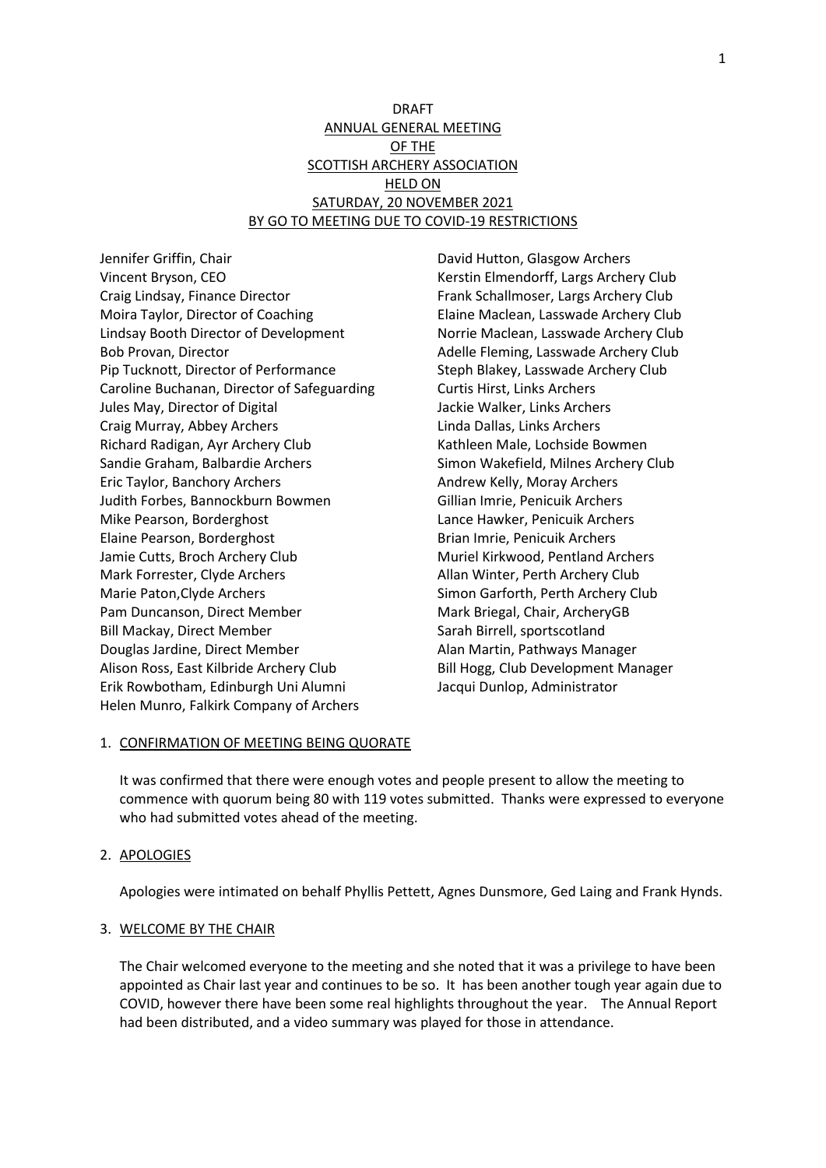# DRAFT ANNUAL GENERAL MEETING OF THE SCOTTISH ARCHERY ASSOCIATION **HELD ON** SATURDAY, 20 NOVEMBER 2021 BY GO TO MEETING DUE TO COVID-19 RESTRICTIONS

Jennifer Griffin, Chair Vincent Bryson, CEO Craig Lindsay, Finance Director Moira Taylor, Director of Coaching Lindsay Booth Director of Development Bob Provan, Director Pip Tucknott, Director of Performance Caroline Buchanan, Director of Safeguarding Jules May, Director of Digital Craig Murray, Abbey Archers Richard Radigan, Ayr Archery Club Sandie Graham, Balbardie Archers Eric Taylor, Banchory Archers Judith Forbes, Bannockburn Bowmen Mike Pearson, Borderghost Elaine Pearson, Borderghost Jamie Cutts, Broch Archery Club Mark Forrester, Clyde Archers Marie Paton,Clyde Archers Pam Duncanson, Direct Member Bill Mackay, Direct Member Douglas Jardine, Direct Member Alison Ross, East Kilbride Archery Club Erik Rowbotham, Edinburgh Uni Alumni Helen Munro, Falkirk Company of Archers

David Hutton, Glasgow Archers Kerstin Elmendorff, Largs Archery Club Frank Schallmoser, Largs Archery Club Elaine Maclean, Lasswade Archery Club Norrie Maclean, Lasswade Archery Club Adelle Fleming, Lasswade Archery Club Steph Blakey, Lasswade Archery Club Curtis Hirst, Links Archers Jackie Walker, Links Archers Linda Dallas, Links Archers Kathleen Male, Lochside Bowmen Simon Wakefield, Milnes Archery Club Andrew Kelly, Moray Archers Gillian Imrie, Penicuik Archers Lance Hawker, Penicuik Archers Brian Imrie, Penicuik Archers Muriel Kirkwood, Pentland Archers Allan Winter, Perth Archery Club Simon Garforth, Perth Archery Club Mark Briegal, Chair, ArcheryGB Sarah Birrell, sportscotland Alan Martin, Pathways Manager Bill Hogg, Club Development Manager Jacqui Dunlop, Administrator

## 1. CONFIRMATION OF MEETING BEING QUORATE

It was confirmed that there were enough votes and people present to allow the meeting to commence with quorum being 80 with 119 votes submitted. Thanks were expressed to everyone who had submitted votes ahead of the meeting.

#### 2. APOLOGIES

Apologies were intimated on behalf Phyllis Pettett, Agnes Dunsmore, Ged Laing and Frank Hynds.

#### 3. WELCOME BY THE CHAIR

The Chair welcomed everyone to the meeting and she noted that it was a privilege to have been appointed as Chair last year and continues to be so. It has been another tough year again due to COVID, however there have been some real highlights throughout the year. The Annual Report had been distributed, and a video summary was played for those in attendance.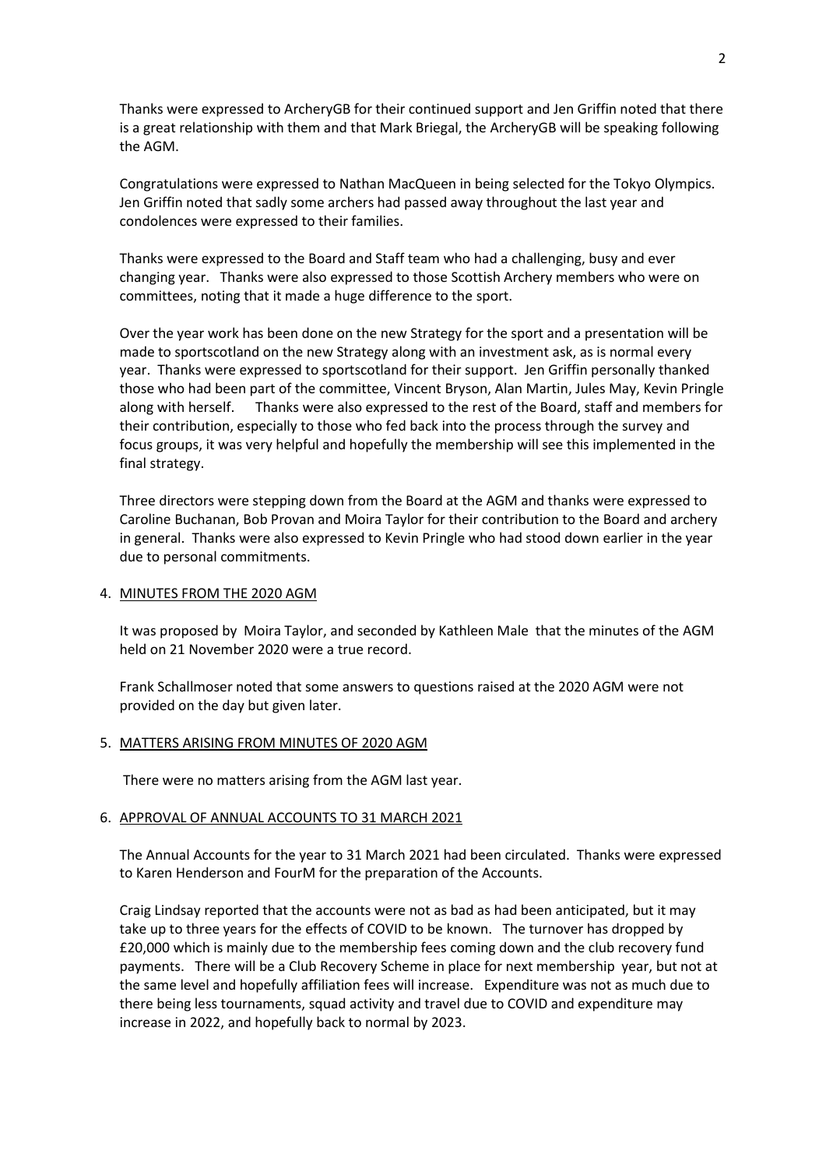Thanks were expressed to ArcheryGB for their continued support and Jen Griffin noted that there is a great relationship with them and that Mark Briegal, the ArcheryGB will be speaking following the AGM.

Congratulations were expressed to Nathan MacQueen in being selected for the Tokyo Olympics. Jen Griffin noted that sadly some archers had passed away throughout the last year and condolences were expressed to their families.

Thanks were expressed to the Board and Staff team who had a challenging, busy and ever changing year. Thanks were also expressed to those Scottish Archery members who were on committees, noting that it made a huge difference to the sport.

Over the year work has been done on the new Strategy for the sport and a presentation will be made to sportscotland on the new Strategy along with an investment ask, as is normal every year. Thanks were expressed to sportscotland for their support. Jen Griffin personally thanked those who had been part of the committee, Vincent Bryson, Alan Martin, Jules May, Kevin Pringle along with herself. Thanks were also expressed to the rest of the Board, staff and members for their contribution, especially to those who fed back into the process through the survey and focus groups, it was very helpful and hopefully the membership will see this implemented in the final strategy.

Three directors were stepping down from the Board at the AGM and thanks were expressed to Caroline Buchanan, Bob Provan and Moira Taylor for their contribution to the Board and archery in general. Thanks were also expressed to Kevin Pringle who had stood down earlier in the year due to personal commitments.

### 4. MINUTES FROM THE 2020 AGM

It was proposed by Moira Taylor, and seconded by Kathleen Male that the minutes of the AGM held on 21 November 2020 were a true record.

Frank Schallmoser noted that some answers to questions raised at the 2020 AGM were not provided on the day but given later.

### 5. MATTERS ARISING FROM MINUTES OF 2020 AGM

There were no matters arising from the AGM last year.

### 6. APPROVAL OF ANNUAL ACCOUNTS TO 31 MARCH 2021

The Annual Accounts for the year to 31 March 2021 had been circulated. Thanks were expressed to Karen Henderson and FourM for the preparation of the Accounts.

Craig Lindsay reported that the accounts were not as bad as had been anticipated, but it may take up to three years for the effects of COVID to be known. The turnover has dropped by £20,000 which is mainly due to the membership fees coming down and the club recovery fund payments. There will be a Club Recovery Scheme in place for next membership year, but not at the same level and hopefully affiliation fees will increase. Expenditure was not as much due to there being less tournaments, squad activity and travel due to COVID and expenditure may increase in 2022, and hopefully back to normal by 2023.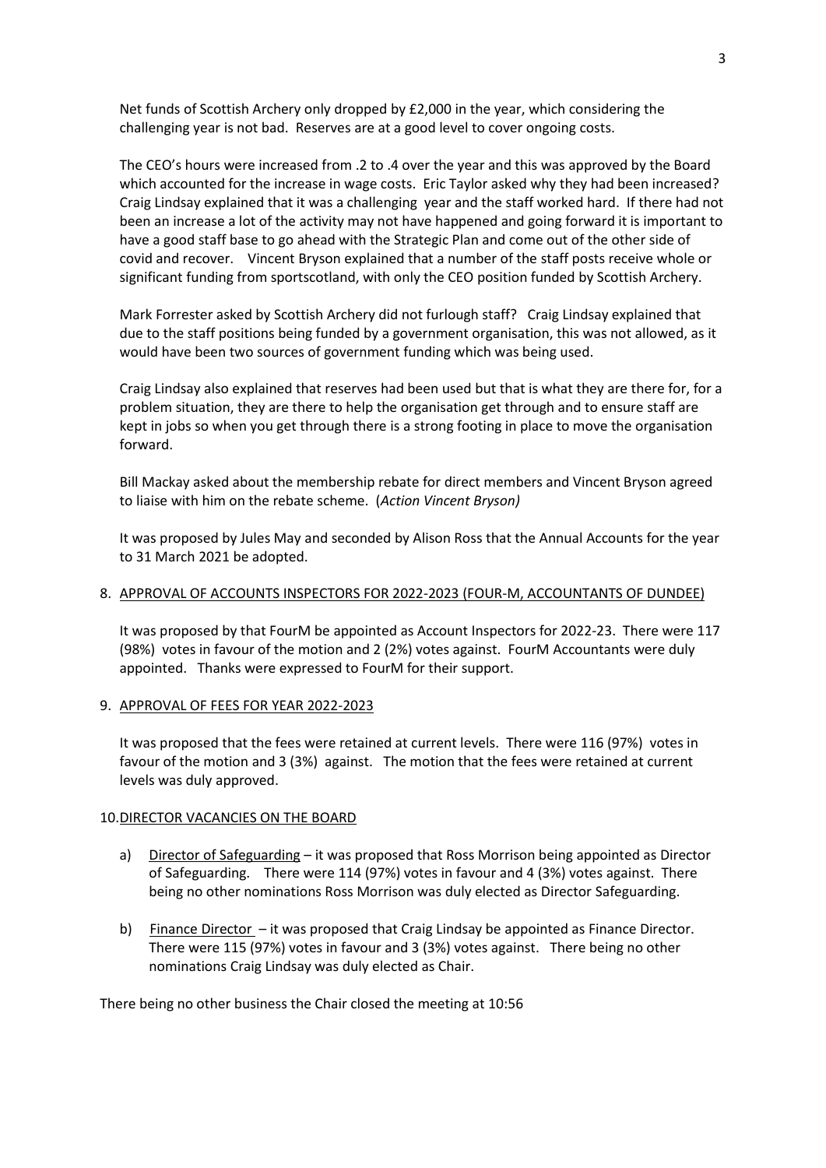Net funds of Scottish Archery only dropped by £2,000 in the year, which considering the challenging year is not bad. Reserves are at a good level to cover ongoing costs.

The CEO's hours were increased from .2 to .4 over the year and this was approved by the Board which accounted for the increase in wage costs. Eric Taylor asked why they had been increased? Craig Lindsay explained that it was a challenging year and the staff worked hard. If there had not been an increase a lot of the activity may not have happened and going forward it is important to have a good staff base to go ahead with the Strategic Plan and come out of the other side of covid and recover. Vincent Bryson explained that a number of the staff posts receive whole or significant funding from sportscotland, with only the CEO position funded by Scottish Archery.

Mark Forrester asked by Scottish Archery did not furlough staff? Craig Lindsay explained that due to the staff positions being funded by a government organisation, this was not allowed, as it would have been two sources of government funding which was being used.

Craig Lindsay also explained that reserves had been used but that is what they are there for, for a problem situation, they are there to help the organisation get through and to ensure staff are kept in jobs so when you get through there is a strong footing in place to move the organisation forward.

Bill Mackay asked about the membership rebate for direct members and Vincent Bryson agreed to liaise with him on the rebate scheme. (*Action Vincent Bryson)*

It was proposed by Jules May and seconded by Alison Ross that the Annual Accounts for the year to 31 March 2021 be adopted.

## 8. APPROVAL OF ACCOUNTS INSPECTORS FOR 2022-2023 (FOUR-M, ACCOUNTANTS OF DUNDEE)

It was proposed by that FourM be appointed as Account Inspectors for 2022-23. There were 117 (98%) votes in favour of the motion and 2 (2%) votes against. FourM Accountants were duly appointed. Thanks were expressed to FourM for their support.

#### 9. APPROVAL OF FEES FOR YEAR 2022-2023

It was proposed that the fees were retained at current levels. There were 116 (97%) votes in favour of the motion and 3 (3%) against. The motion that the fees were retained at current levels was duly approved.

#### 10.DIRECTOR VACANCIES ON THE BOARD

- a) Director of Safeguarding it was proposed that Ross Morrison being appointed as Director of Safeguarding. There were 114 (97%) votes in favour and 4 (3%) votes against. There being no other nominations Ross Morrison was duly elected as Director Safeguarding.
- b) Finance Director it was proposed that Craig Lindsay be appointed as Finance Director. There were 115 (97%) votes in favour and 3 (3%) votes against. There being no other nominations Craig Lindsay was duly elected as Chair.

There being no other business the Chair closed the meeting at 10:56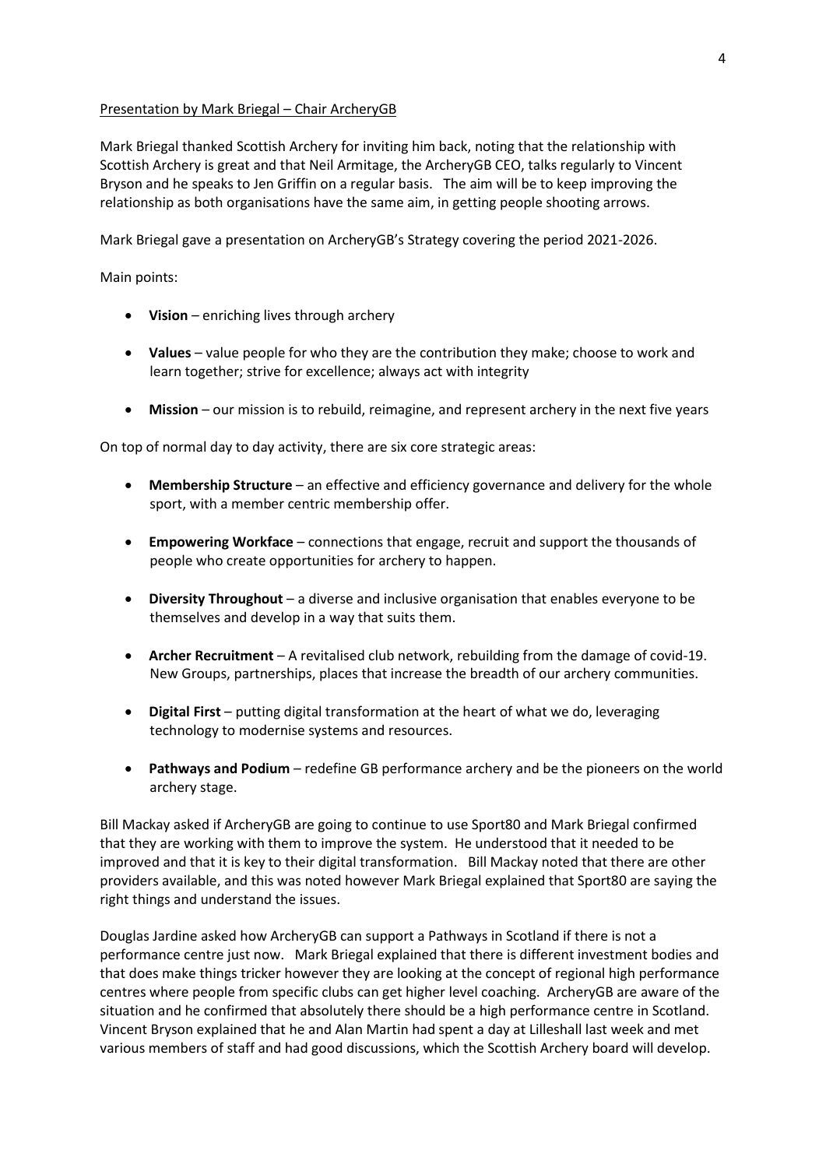### Presentation by Mark Briegal – Chair ArcheryGB

Mark Briegal thanked Scottish Archery for inviting him back, noting that the relationship with Scottish Archery is great and that Neil Armitage, the ArcheryGB CEO, talks regularly to Vincent Bryson and he speaks to Jen Griffin on a regular basis. The aim will be to keep improving the relationship as both organisations have the same aim, in getting people shooting arrows.

Mark Briegal gave a presentation on ArcheryGB's Strategy covering the period 2021-2026.

Main points:

- **Vision** enriching lives through archery
- **Values** value people for who they are the contribution they make; choose to work and learn together; strive for excellence; always act with integrity
- **Mission** our mission is to rebuild, reimagine, and represent archery in the next five years

On top of normal day to day activity, there are six core strategic areas:

- **Membership Structure** an effective and efficiency governance and delivery for the whole sport, with a member centric membership offer.
- **Empowering Workface** connections that engage, recruit and support the thousands of people who create opportunities for archery to happen.
- **Diversity Throughout** a diverse and inclusive organisation that enables everyone to be themselves and develop in a way that suits them.
- **Archer Recruitment** A revitalised club network, rebuilding from the damage of covid-19. New Groups, partnerships, places that increase the breadth of our archery communities.
- **Digital First** putting digital transformation at the heart of what we do, leveraging technology to modernise systems and resources.
- **Pathways and Podium** redefine GB performance archery and be the pioneers on the world archery stage.

Bill Mackay asked if ArcheryGB are going to continue to use Sport80 and Mark Briegal confirmed that they are working with them to improve the system. He understood that it needed to be improved and that it is key to their digital transformation. Bill Mackay noted that there are other providers available, and this was noted however Mark Briegal explained that Sport80 are saying the right things and understand the issues.

Douglas Jardine asked how ArcheryGB can support a Pathways in Scotland if there is not a performance centre just now. Mark Briegal explained that there is different investment bodies and that does make things tricker however they are looking at the concept of regional high performance centres where people from specific clubs can get higher level coaching. ArcheryGB are aware of the situation and he confirmed that absolutely there should be a high performance centre in Scotland. Vincent Bryson explained that he and Alan Martin had spent a day at Lilleshall last week and met various members of staff and had good discussions, which the Scottish Archery board will develop.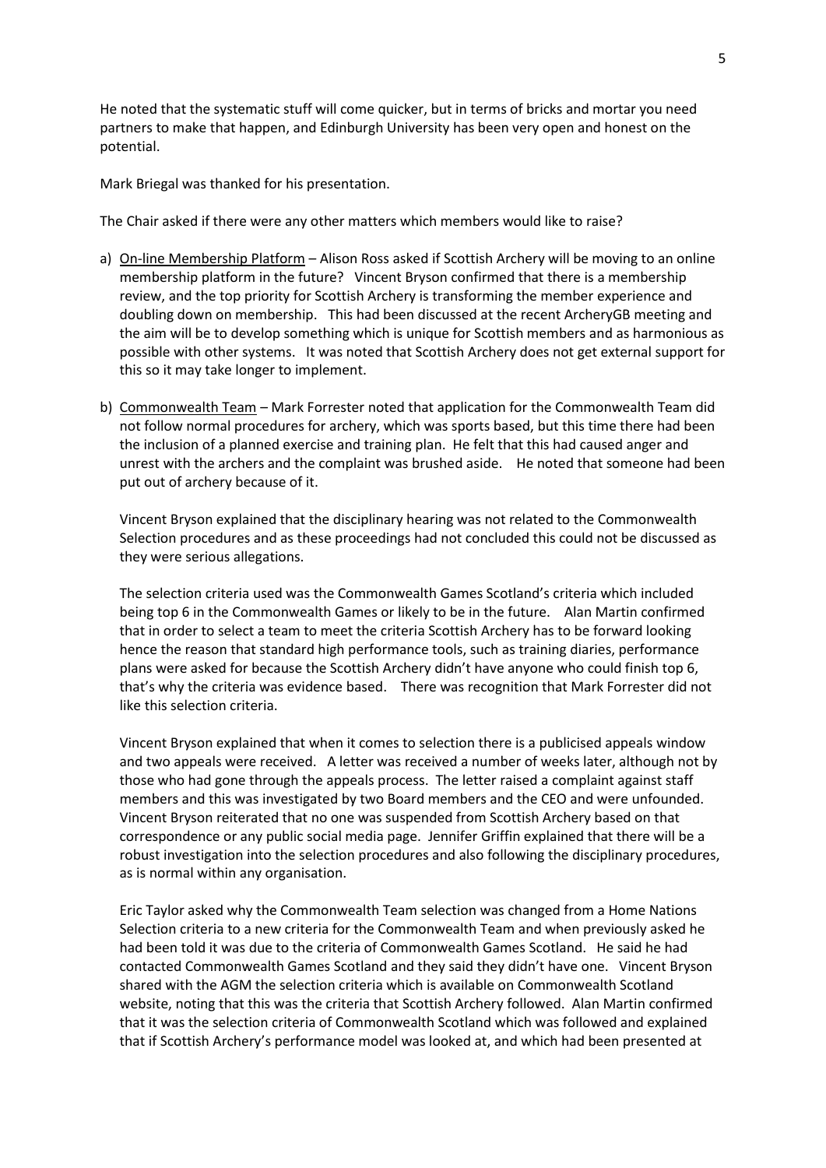He noted that the systematic stuff will come quicker, but in terms of bricks and mortar you need partners to make that happen, and Edinburgh University has been very open and honest on the potential.

Mark Briegal was thanked for his presentation.

The Chair asked if there were any other matters which members would like to raise?

- a) On-line Membership Platform Alison Ross asked if Scottish Archery will be moving to an online membership platform in the future? Vincent Bryson confirmed that there is a membership review, and the top priority for Scottish Archery is transforming the member experience and doubling down on membership. This had been discussed at the recent ArcheryGB meeting and the aim will be to develop something which is unique for Scottish members and as harmonious as possible with other systems. It was noted that Scottish Archery does not get external support for this so it may take longer to implement.
- b) Commonwealth Team Mark Forrester noted that application for the Commonwealth Team did not follow normal procedures for archery, which was sports based, but this time there had been the inclusion of a planned exercise and training plan. He felt that this had caused anger and unrest with the archers and the complaint was brushed aside. He noted that someone had been put out of archery because of it.

Vincent Bryson explained that the disciplinary hearing was not related to the Commonwealth Selection procedures and as these proceedings had not concluded this could not be discussed as they were serious allegations.

The selection criteria used was the Commonwealth Games Scotland's criteria which included being top 6 in the Commonwealth Games or likely to be in the future. Alan Martin confirmed that in order to select a team to meet the criteria Scottish Archery has to be forward looking hence the reason that standard high performance tools, such as training diaries, performance plans were asked for because the Scottish Archery didn't have anyone who could finish top 6, that's why the criteria was evidence based. There was recognition that Mark Forrester did not like this selection criteria.

Vincent Bryson explained that when it comes to selection there is a publicised appeals window and two appeals were received. A letter was received a number of weeks later, although not by those who had gone through the appeals process. The letter raised a complaint against staff members and this was investigated by two Board members and the CEO and were unfounded. Vincent Bryson reiterated that no one was suspended from Scottish Archery based on that correspondence or any public social media page. Jennifer Griffin explained that there will be a robust investigation into the selection procedures and also following the disciplinary procedures, as is normal within any organisation.

Eric Taylor asked why the Commonwealth Team selection was changed from a Home Nations Selection criteria to a new criteria for the Commonwealth Team and when previously asked he had been told it was due to the criteria of Commonwealth Games Scotland. He said he had contacted Commonwealth Games Scotland and they said they didn't have one. Vincent Bryson shared with the AGM the selection criteria which is available on Commonwealth Scotland website, noting that this was the criteria that Scottish Archery followed. Alan Martin confirmed that it was the selection criteria of Commonwealth Scotland which was followed and explained that if Scottish Archery's performance model was looked at, and which had been presented at